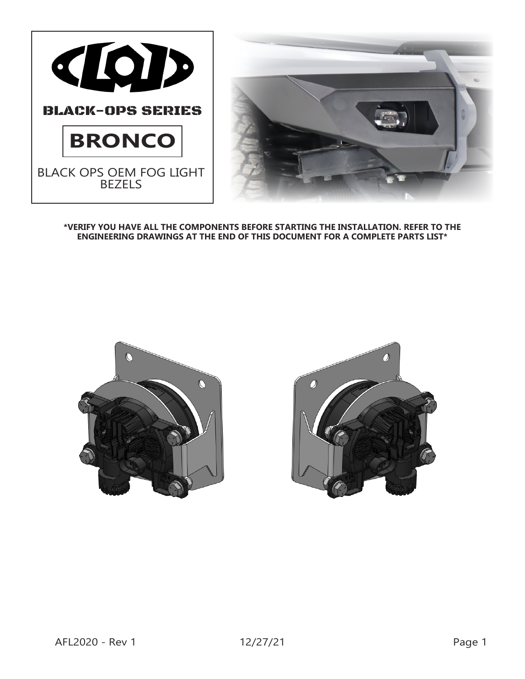



**\*VERIFY YOU HAVE ALL THE COMPONENTS BEFORE STARTING THE INSTALLATION. REFER TO THE ENGINEERING DRAWINGS AT THE END OF THIS DOCUMENT FOR A COMPLETE PARTS LIST\***



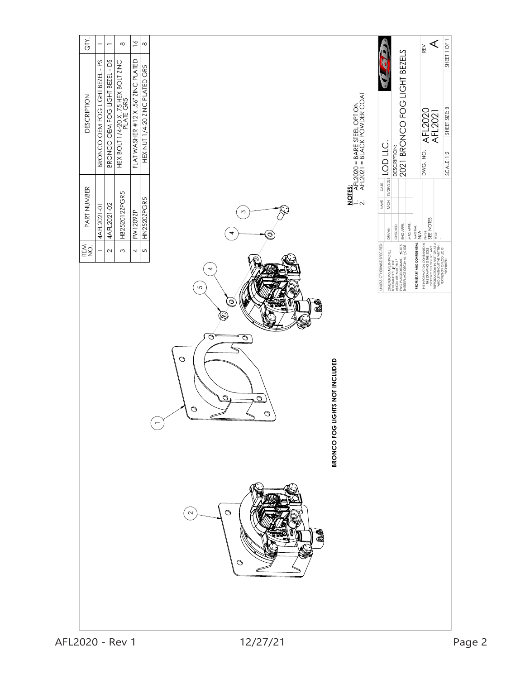| GTY.<br>$\infty$<br>$\overline{\phantom{0}}$<br>-                                                                                            | $\overline{6}$<br>$\infty$                                           |                                                                                                                                                                                                     |                                                                                                    | SHEET 1 OF 1<br>⋖<br>REV                                                                                                                                                                                                                                                                                                                                |
|----------------------------------------------------------------------------------------------------------------------------------------------|----------------------------------------------------------------------|-----------------------------------------------------------------------------------------------------------------------------------------------------------------------------------------------------|----------------------------------------------------------------------------------------------------|---------------------------------------------------------------------------------------------------------------------------------------------------------------------------------------------------------------------------------------------------------------------------------------------------------------------------------------------------------|
| BRONCO OEM FOG LIGHT BEZEL - DS<br>BRONCO OEM FOG LIGHT BEZEL - PS<br>HEX BOLT 1/4-20 X .75 HEX BOLT ZINC<br>PLATE GR5<br><b>DESCRIPTION</b> | FLAT WASHER #12 X .56" ZINC PLATED<br>HEX NUT 1/4-20 ZINC PLATED GR5 |                                                                                                                                                                                                     | $\frac{\overline{A}}{\overline{A}}$ $\frac{\overline{A}}{\overline{A}}$ = 2020 = BLACK POWDER COAT | DESCRIPTION:<br>2021 BRONCO FOG LIGHT BEZELS<br>SHEET SIZE: B<br>AFL2020<br>AFL2021<br>DWG. NO.<br>SCALE: 1:2                                                                                                                                                                                                                                           |
| PART NUMBER<br><b>HB252012ZPGR5</b><br>4AFL2021-02<br>4AFL2021-01<br>Mag<br>LLS                                                              | <b>HN2520ZPGR5</b><br>FW1209ZP                                       | S<br>◎                                                                                                                                                                                              | <b>NOTES:</b><br>$\dot{-}$ $\dot{\sim}$                                                            | $\frac{1}{\sqrt{2}}$ $\frac{1}{\sqrt{2}}$ $\frac{1}{\sqrt{2}}$ $\frac{1}{\sqrt{2}}$ $\frac{1}{\sqrt{2}}$<br>THE INCORMATION CONTAINED IN FIRSH:<br>FROM CONTROL CONTENT SERVED IN SERVED IN SERVED IN SERVED IN SERVED IN PARTON AS A ECO.<br>REPRODUCTION IN PARTON AS A ECO.<br>PERMISSON OF LOD LLC IS<br>MFG APPR.<br>ENG APPR.<br>CHECKED<br>DRAWN |
|                                                                                                                                              |                                                                      | 4<br>$\mathfrak{S}$<br>$\circledcirc$<br>Ø<br>á<br>Q<br>$\circ$<br>$\overline{\circ}$<br>$\circ$<br><b>BRONCO FOG LIGHTS NOT INCLUDED</b><br>$\circ$<br>$\overline{\circ}$<br>$\bigcirc$<br>$\circ$ |                                                                                                    | ${\tt PROPRETARY AND CONFIDENTIAL} \begin{array}{l} \textit{NATE} \textit{MAI}. \\ \textit{N}/\textit{A}. \end{array}$<br>UNLESS OTHERWISE SPECIFIED:<br>DIMENSIONS ARE IN INCHES<br>TOLERANCES: +9.010<br>ANGULAR: MACH+11<br>METHACE DECIMAL +9.015<br>THREE PLACE DECIMAL +9.005                                                                     |
|                                                                                                                                              |                                                                      | $\bigcirc$<br>$\mathbf{\sim}$<br>$\circ$                                                                                                                                                            |                                                                                                    |                                                                                                                                                                                                                                                                                                                                                         |
| AFL2020 - Rev 1                                                                                                                              |                                                                      | 12/27/21                                                                                                                                                                                            |                                                                                                    | Page 2                                                                                                                                                                                                                                                                                                                                                  |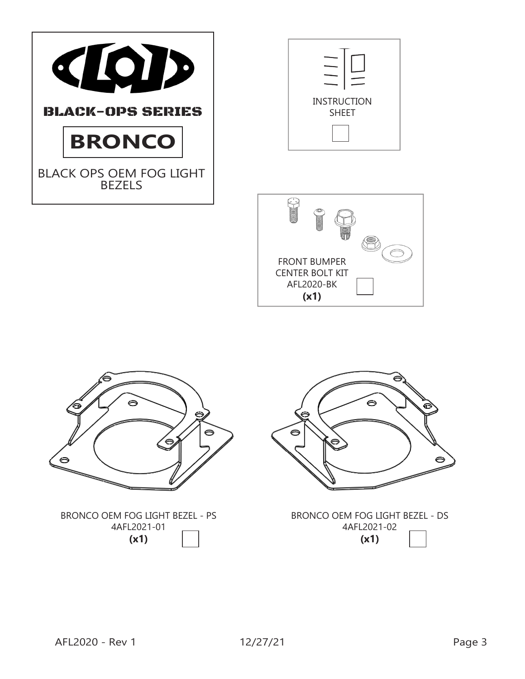







BRONCO OEM FOG LIGHT BEZEL - DS 4AFL2021-02 **(x1)**

⊝

BRONCO OEM FOG LIGHT BEZEL - PS 4AFL2021-01 **(x1)**

8

⊜